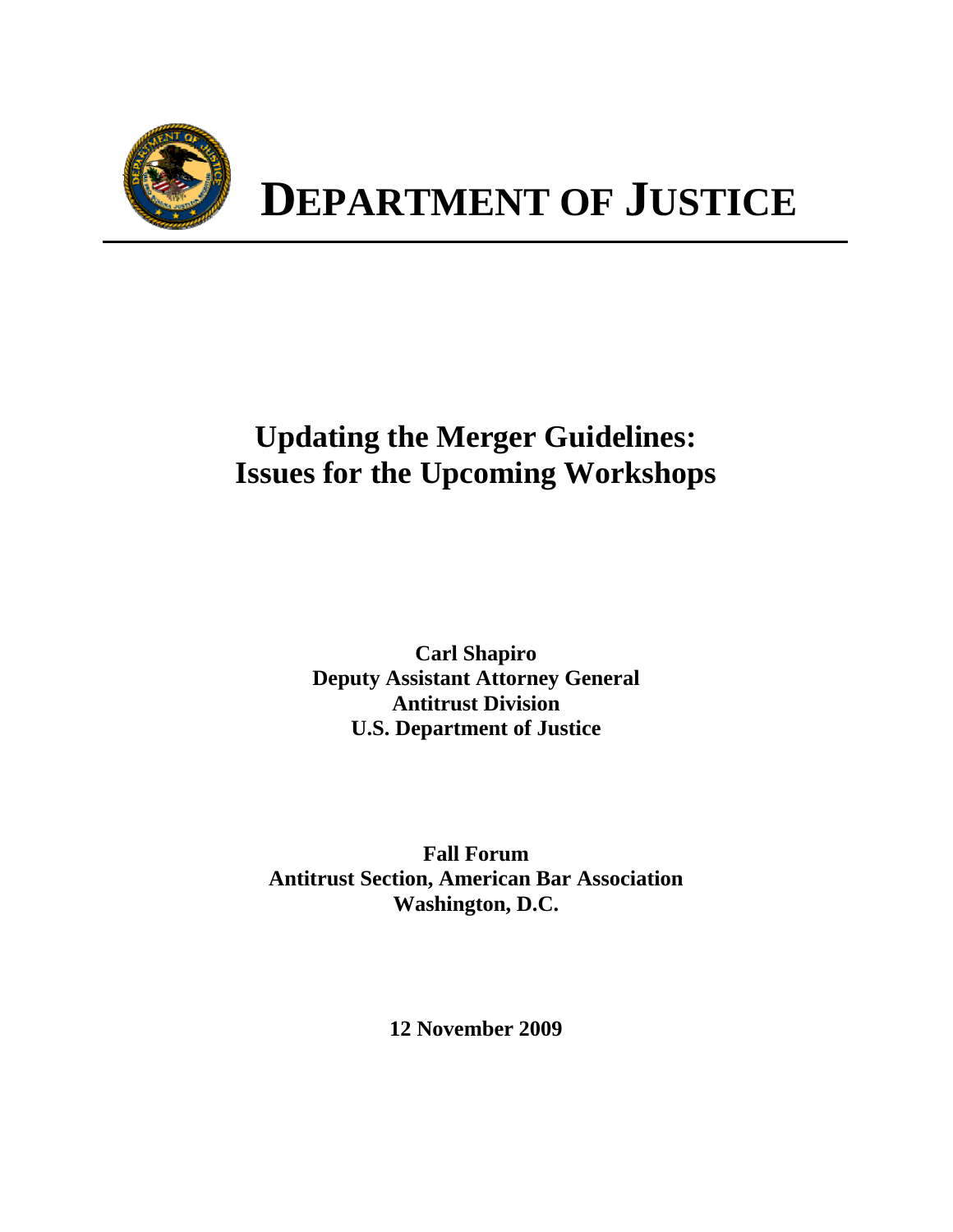

# **Updating the Merger Guidelines: Issues for the Upcoming Workshops**

**Carl Shapiro Deputy Assistant Attorney General Antitrust Division U.S. Department of Justice** 

**Fall Forum Antitrust Section, American Bar Association Washington, D.C.** 

**12 November 2009**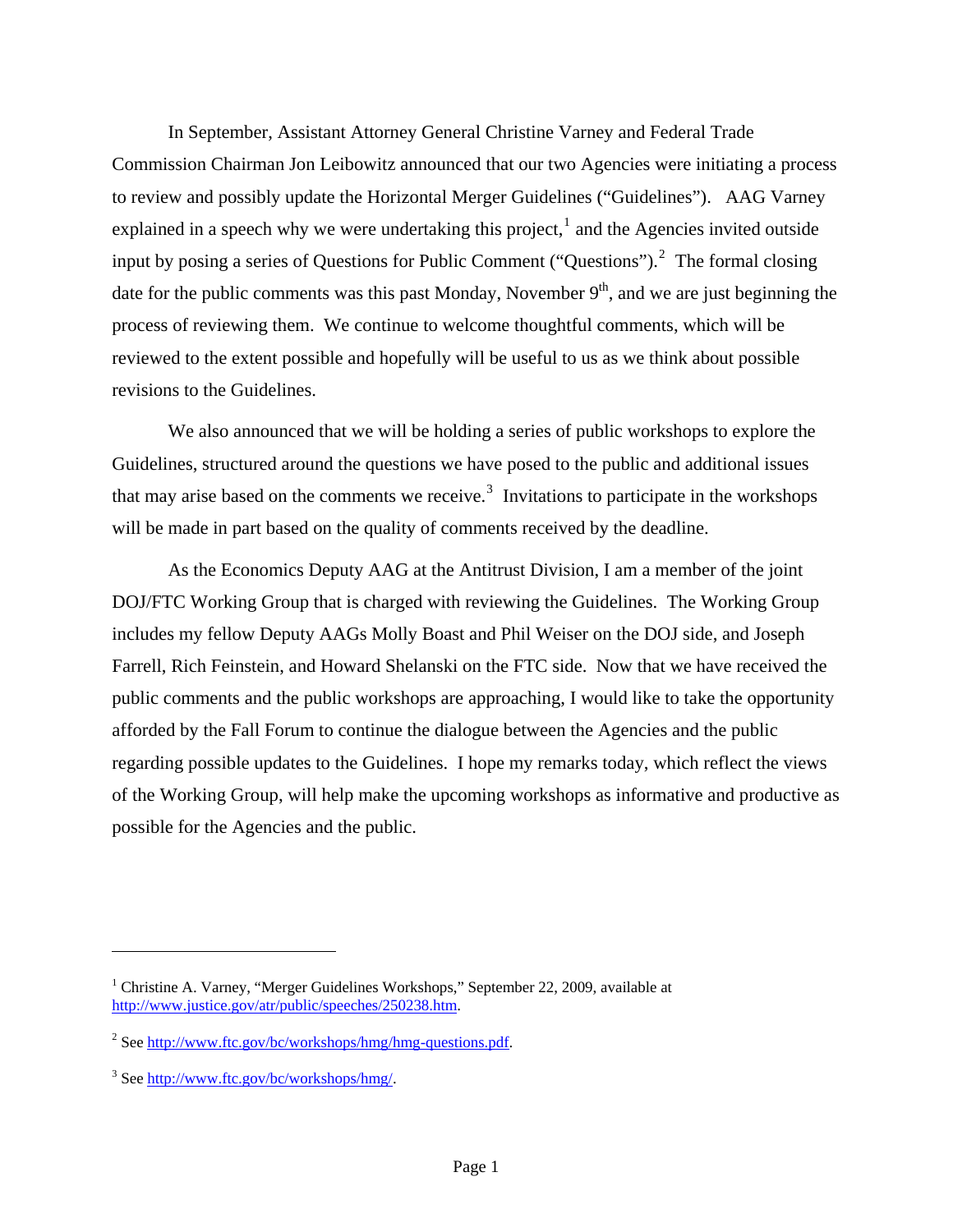In September, Assistant Attorney General Christine Varney and Federal Trade Commission Chairman Jon Leibowitz announced that our two Agencies were initiating a process to review and possibly update the Horizontal Merger Guidelines ("Guidelines"). AAG Varney explained in a speech why we were undertaking this project,<sup>[1](#page-1-0)</sup> and the Agencies invited outside input by posing a series of Questions for Public Comment ("Questions").<sup>[2](#page-1-1)</sup> The formal closing date for the public comments was this past Monday, November  $9<sup>th</sup>$ , and we are just beginning the process of reviewing them. We continue to welcome thoughtful comments, which will be reviewed to the extent possible and hopefully will be useful to us as we think about possible revisions to the Guidelines.

We also announced that we will be holding a series of public workshops to explore the Guidelines, structured around the questions we have posed to the public and additional issues that may arise based on the comments we receive.<sup>[3](#page-1-2)</sup> Invitations to participate in the workshops will be made in part based on the quality of comments received by the deadline.

As the Economics Deputy AAG at the Antitrust Division, I am a member of the joint DOJ/FTC Working Group that is charged with reviewing the Guidelines. The Working Group includes my fellow Deputy AAGs Molly Boast and Phil Weiser on the DOJ side, and Joseph Farrell, Rich Feinstein, and Howard Shelanski on the FTC side. Now that we have received the public comments and the public workshops are approaching, I would like to take the opportunity afforded by the Fall Forum to continue the dialogue between the Agencies and the public regarding possible updates to the Guidelines. I hope my remarks today, which reflect the views of the Working Group, will help make the upcoming workshops as informative and productive as possible for the Agencies and the public.

<span id="page-1-0"></span><sup>&</sup>lt;sup>1</sup> Christine A. Varney, "Merger Guidelines Workshops," September 22, 2009, available at [http://www.justice.gov/atr/public/speeches/250238.htm.](http://www.justice.gov/atr/public/speeches/250238.htm)

<span id="page-1-1"></span><sup>&</sup>lt;sup>2</sup> See <http://www.ftc.gov/bc/workshops/hmg/hmg-questions.pdf>.

<span id="page-1-2"></span><sup>&</sup>lt;sup>3</sup> See <http://www.ftc.gov/bc/workshops/hmg/>.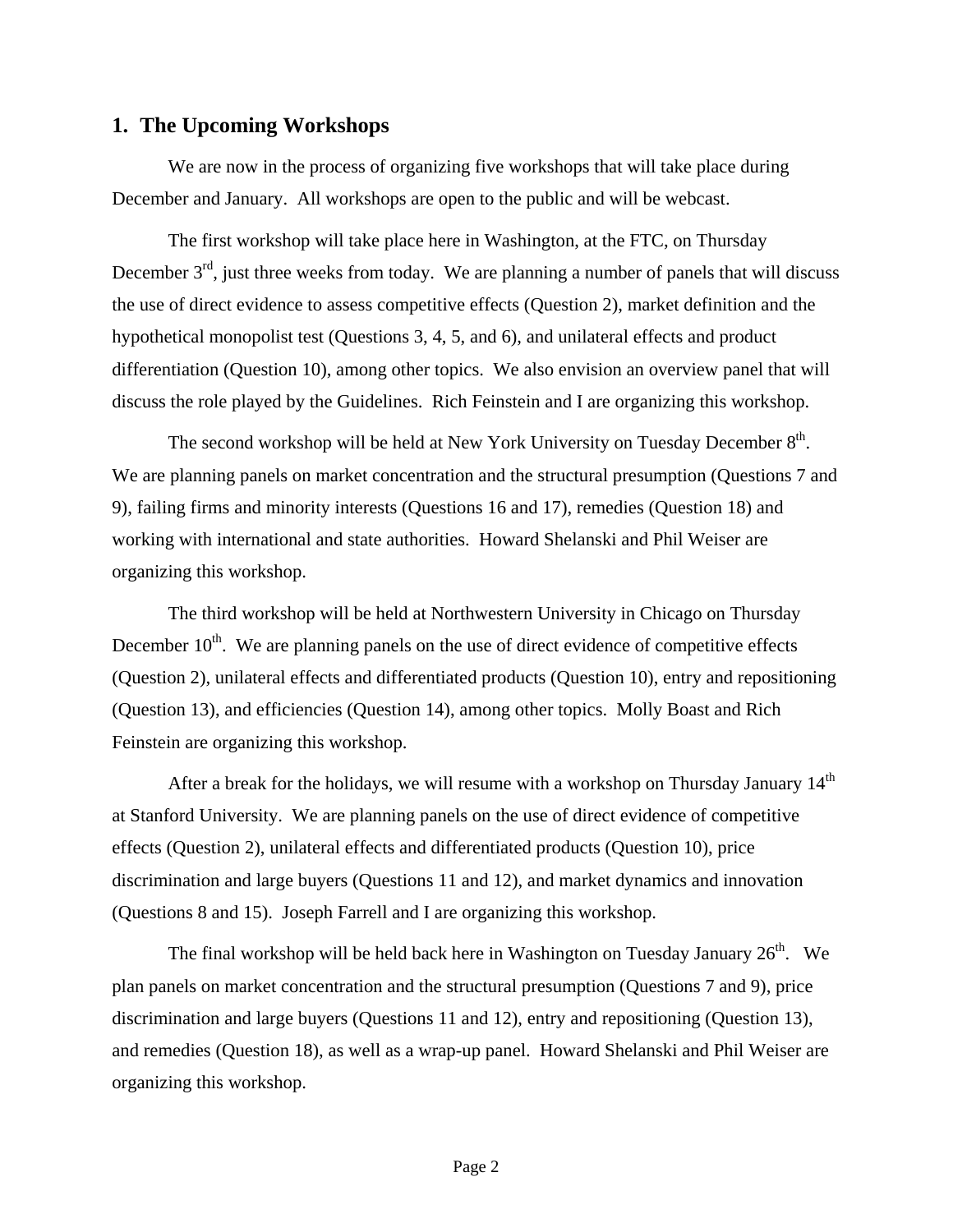#### **1. The Upcoming Workshops**

We are now in the process of organizing five workshops that will take place during December and January. All workshops are open to the public and will be webcast.

The first workshop will take place here in Washington, at the FTC, on Thursday December  $3<sup>rd</sup>$ , just three weeks from today. We are planning a number of panels that will discuss the use of direct evidence to assess competitive effects (Question 2), market definition and the hypothetical monopolist test (Questions 3, 4, 5, and 6), and unilateral effects and product differentiation (Question 10), among other topics. We also envision an overview panel that will discuss the role played by the Guidelines. Rich Feinstein and I are organizing this workshop.

The second workshop will be held at New York University on Tuesday December  $8<sup>th</sup>$ . We are planning panels on market concentration and the structural presumption (Questions 7 and 9), failing firms and minority interests (Questions 16 and 17), remedies (Question 18) and working with international and state authorities. Howard Shelanski and Phil Weiser are organizing this workshop.

The third workshop will be held at Northwestern University in Chicago on Thursday December  $10<sup>th</sup>$ . We are planning panels on the use of direct evidence of competitive effects (Question 2), unilateral effects and differentiated products (Question 10), entry and repositioning (Question 13), and efficiencies (Question 14), among other topics. Molly Boast and Rich Feinstein are organizing this workshop.

After a break for the holidays, we will resume with a workshop on Thursday January  $14<sup>th</sup>$ at Stanford University. We are planning panels on the use of direct evidence of competitive effects (Question 2), unilateral effects and differentiated products (Question 10), price discrimination and large buyers (Questions 11 and 12), and market dynamics and innovation (Questions 8 and 15). Joseph Farrell and I are organizing this workshop.

The final workshop will be held back here in Washington on Tuesday January  $26<sup>th</sup>$ . We plan panels on market concentration and the structural presumption (Questions 7 and 9), price discrimination and large buyers (Questions 11 and 12), entry and repositioning (Question 13), and remedies (Question 18), as well as a wrap-up panel. Howard Shelanski and Phil Weiser are organizing this workshop.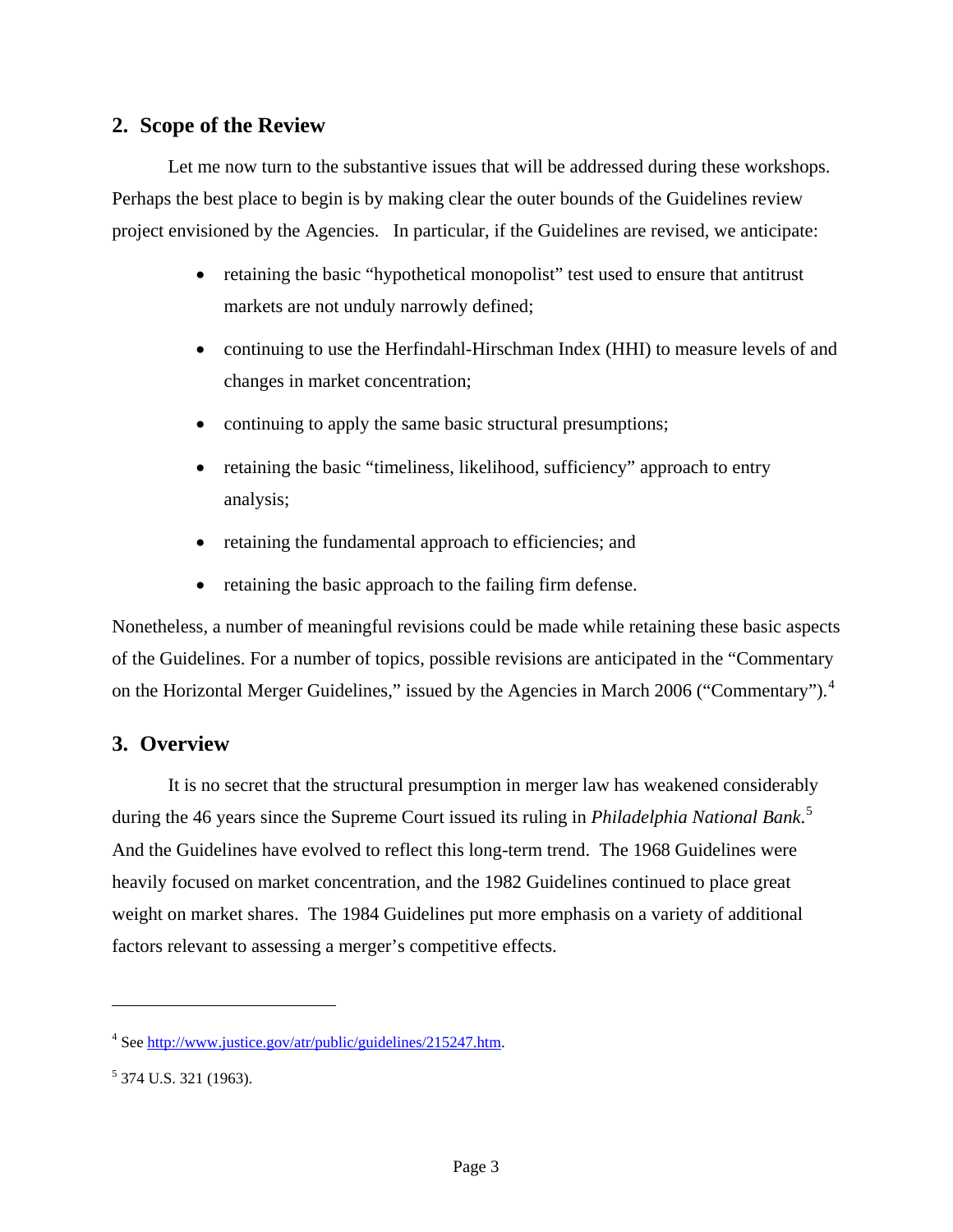# **2. Scope of the Review**

Let me now turn to the substantive issues that will be addressed during these workshops. Perhaps the best place to begin is by making clear the outer bounds of the Guidelines review project envisioned by the Agencies. In particular, if the Guidelines are revised, we anticipate:

- retaining the basic "hypothetical monopolist" test used to ensure that antitrust markets are not unduly narrowly defined;
- continuing to use the Herfindahl-Hirschman Index (HHI) to measure levels of and changes in market concentration;
- continuing to apply the same basic structural presumptions;
- retaining the basic "timeliness, likelihood, sufficiency" approach to entry analysis;
- retaining the fundamental approach to efficiencies; and
- retaining the basic approach to the failing firm defense.

Nonetheless, a number of meaningful revisions could be made while retaining these basic aspects of the Guidelines. For a number of topics, possible revisions are anticipated in the "Commentary on the Horizontal Merger Guidelines," issued by the Agencies in March 2006 ("Commentary").<sup>[4](#page-3-0)</sup>

# **3. Overview**

It is no secret that the structural presumption in merger law has weakened considerably during the 46 years since the Supreme Court issued its ruling in *Philadelphia National Bank*. [5](#page-3-1) And the Guidelines have evolved to reflect this long-term trend. The 1968 Guidelines were heavily focused on market concentration, and the 1982 Guidelines continued to place great weight on market shares. The 1984 Guidelines put more emphasis on a variety of additional factors relevant to assessing a merger's competitive effects.

<span id="page-3-0"></span><sup>&</sup>lt;sup>4</sup> See <http://www.justice.gov/atr/public/guidelines/215247.htm>.

<span id="page-3-1"></span><sup>&</sup>lt;sup>5</sup> 374 U.S. 321 (1963).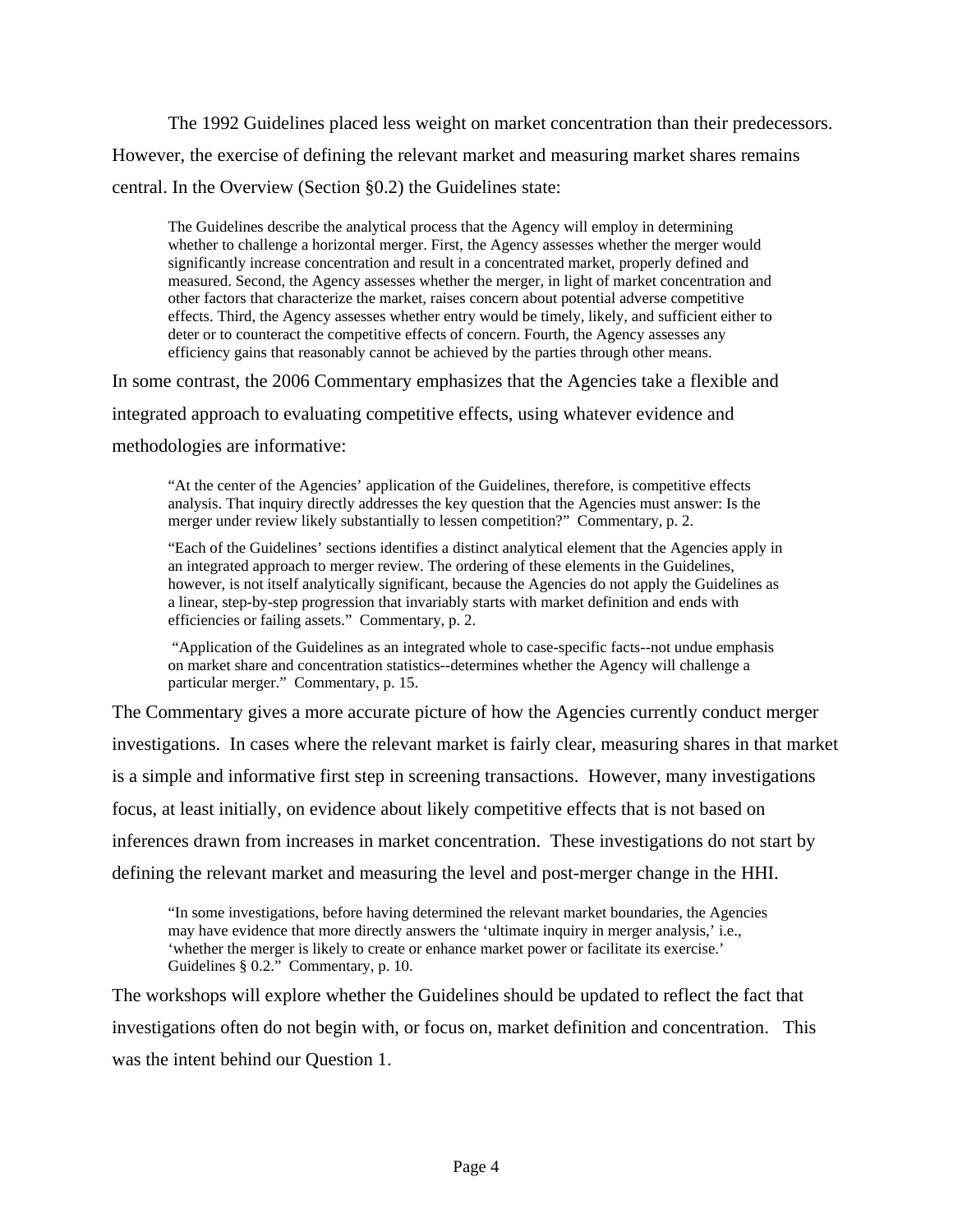The 1992 Guidelines placed less weight on market concentration than their predecessors. However, the exercise of defining the relevant market and measuring market shares remains central. In the Overview (Section §0.2) the Guidelines state:

The Guidelines describe the analytical process that the Agency will employ in determining whether to challenge a horizontal merger. First, the Agency assesses whether the merger would significantly increase concentration and result in a concentrated market, properly defined and measured. Second, the Agency assesses whether the merger, in light of market concentration and other factors that characterize the market, raises concern about potential adverse competitive effects. Third, the Agency assesses whether entry would be timely, likely, and sufficient either to deter or to counteract the competitive effects of concern. Fourth, the Agency assesses any efficiency gains that reasonably cannot be achieved by the parties through other means.

In some contrast, the 2006 Commentary emphasizes that the Agencies take a flexible and integrated approach to evaluating competitive effects, using whatever evidence and

methodologies are informative:

"At the center of the Agencies' application of the Guidelines, therefore, is competitive effects analysis. That inquiry directly addresses the key question that the Agencies must answer: Is the merger under review likely substantially to lessen competition?" Commentary, p. 2.

"Each of the Guidelines' sections identifies a distinct analytical element that the Agencies apply in an integrated approach to merger review. The ordering of these elements in the Guidelines, however, is not itself analytically significant, because the Agencies do not apply the Guidelines as a linear, step-by-step progression that invariably starts with market definition and ends with efficiencies or failing assets." Commentary, p. 2.

 "Application of the Guidelines as an integrated whole to case-specific facts--not undue emphasis on market share and concentration statistics--determines whether the Agency will challenge a particular merger." Commentary, p. 15.

The Commentary gives a more accurate picture of how the Agencies currently conduct merger investigations. In cases where the relevant market is fairly clear, measuring shares in that market is a simple and informative first step in screening transactions. However, many investigations focus, at least initially, on evidence about likely competitive effects that is not based on inferences drawn from increases in market concentration. These investigations do not start by defining the relevant market and measuring the level and post-merger change in the HHI.

"In some investigations, before having determined the relevant market boundaries, the Agencies may have evidence that more directly answers the 'ultimate inquiry in merger analysis,' i.e., 'whether the merger is likely to create or enhance market power or facilitate its exercise.' Guidelines § 0.2." Commentary, p. 10.

The workshops will explore whether the Guidelines should be updated to reflect the fact that investigations often do not begin with, or focus on, market definition and concentration. This was the intent behind our Question 1.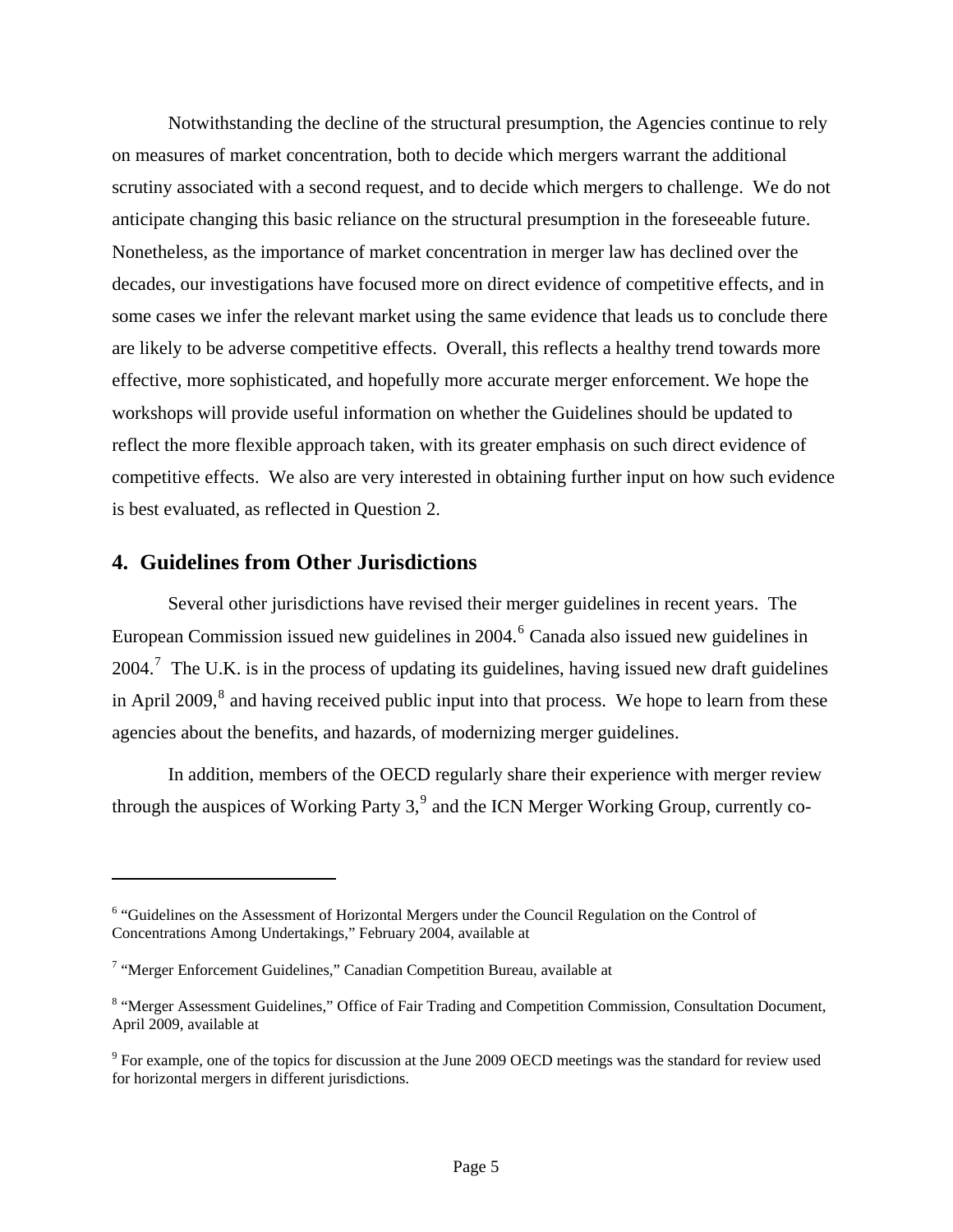Notwithstanding the decline of the structural presumption, the Agencies continue to rely on measures of market concentration, both to decide which mergers warrant the additional scrutiny associated with a second request, and to decide which mergers to challenge. We do not anticipate changing this basic reliance on the structural presumption in the foreseeable future. Nonetheless, as the importance of market concentration in merger law has declined over the decades, our investigations have focused more on direct evidence of competitive effects, and in some cases we infer the relevant market using the same evidence that leads us to conclude there are likely to be adverse competitive effects. Overall, this reflects a healthy trend towards more effective, more sophisticated, and hopefully more accurate merger enforcement. We hope the workshops will provide useful information on whether the Guidelines should be updated to reflect the more flexible approach taken, with its greater emphasis on such direct evidence of competitive effects. We also are very interested in obtaining further input on how such evidence is best evaluated, as reflected in Question 2.

# **4. Guidelines from Other Jurisdictions**

1

Several other jurisdictions have revised their merger guidelines in recent years. The European Commission issued new guidelines in 2004.<sup>[6](#page-5-0)</sup> Canada also issued new guidelines in 2004.<sup>[7](#page-5-1)</sup> The U.K. is in the process of updating its guidelines, having issued new draft guidelines in April 2009, $^8$  $^8$  and having received public input into that process. We hope to learn from these agencies about the benefits, and hazards, of modernizing merger guidelines.

In addition, members of the OECD regularly share their experience with merger review through the auspices of Working Party 3, $9$  and the ICN Merger Working Group, currently co-

<span id="page-5-0"></span><sup>&</sup>lt;sup>6</sup> "Guidelines on the Assessment of Horizontal Mergers under the Council Regulation on the Control of Concentrations Among Undertakings," February 2004, available at

<span id="page-5-1"></span><sup>&</sup>lt;sup>7</sup> "Merger Enforcement Guidelines," Canadian Competition Bureau, available at

<span id="page-5-2"></span><sup>&</sup>lt;sup>8</sup> "Merger Assessment Guidelines," Office of Fair Trading and Competition Commission, Consultation Document, April 2009, available at

<span id="page-5-3"></span> $9^9$  For example, one of the topics for discussion at the June 2009 OECD meetings was the standard for review used for horizontal mergers in different jurisdictions.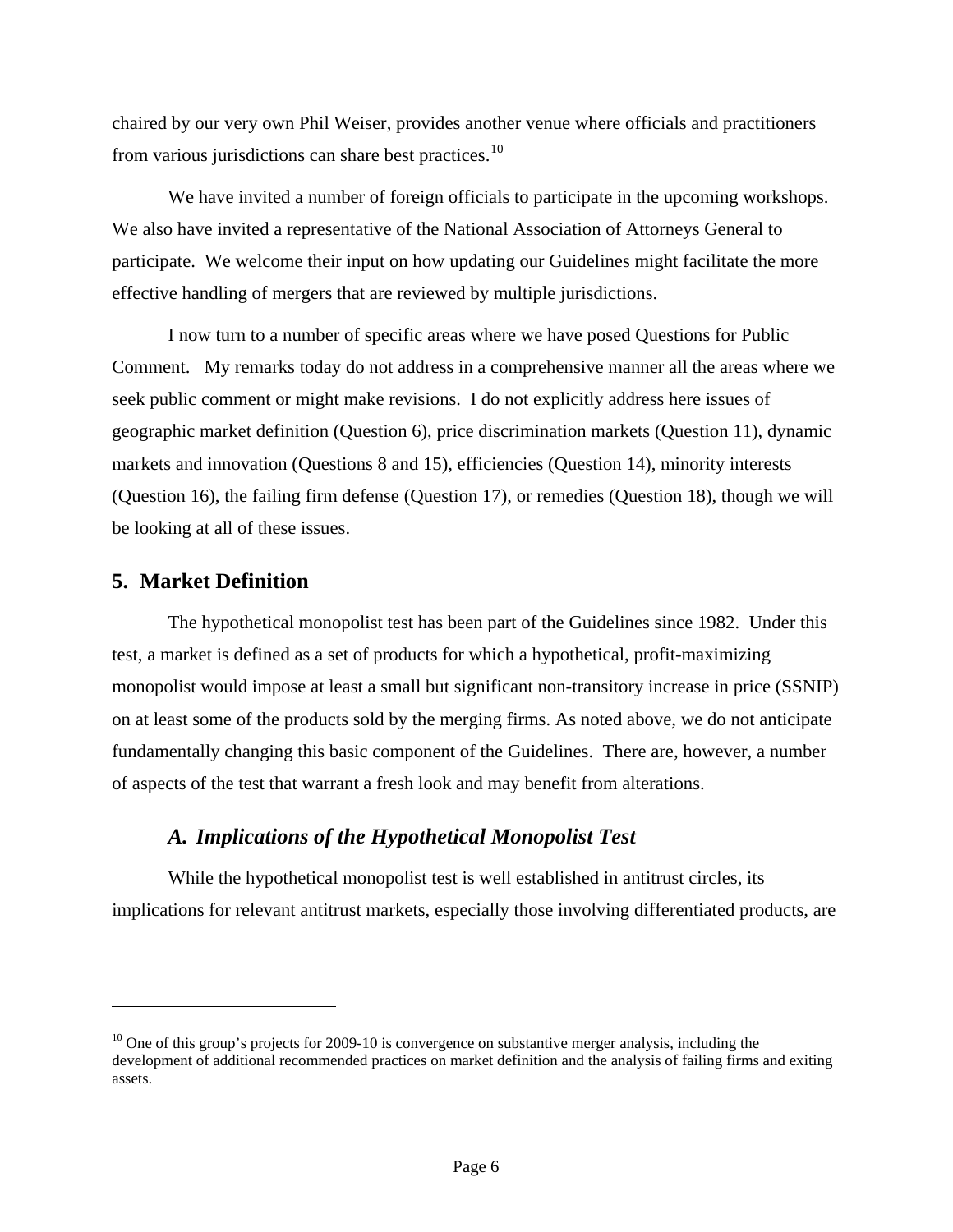chaired by our very own Phil Weiser, provides another venue where officials and practitioners from various jurisdictions can share best practices.<sup>[10](#page-6-0)</sup>

We have invited a number of foreign officials to participate in the upcoming workshops. We also have invited a representative of the National Association of Attorneys General to participate. We welcome their input on how updating our Guidelines might facilitate the more effective handling of mergers that are reviewed by multiple jurisdictions.

I now turn to a number of specific areas where we have posed Questions for Public Comment. My remarks today do not address in a comprehensive manner all the areas where we seek public comment or might make revisions. I do not explicitly address here issues of geographic market definition (Question 6), price discrimination markets (Question 11), dynamic markets and innovation (Questions 8 and 15), efficiencies (Question 14), minority interests (Question 16), the failing firm defense (Question 17), or remedies (Question 18), though we will be looking at all of these issues.

### **5. Market Definition**

 $\overline{a}$ 

The hypothetical monopolist test has been part of the Guidelines since 1982. Under this test, a market is defined as a set of products for which a hypothetical, profit-maximizing monopolist would impose at least a small but significant non-transitory increase in price (SSNIP) on at least some of the products sold by the merging firms. As noted above, we do not anticipate fundamentally changing this basic component of the Guidelines. There are, however, a number of aspects of the test that warrant a fresh look and may benefit from alterations.

### *A. Implications of the Hypothetical Monopolist Test*

While the hypothetical monopolist test is well established in antitrust circles, its implications for relevant antitrust markets, especially those involving differentiated products, are

<span id="page-6-0"></span> $10$  One of this group's projects for 2009-10 is convergence on substantive merger analysis, including the development of additional recommended practices on market definition and the analysis of failing firms and exiting assets.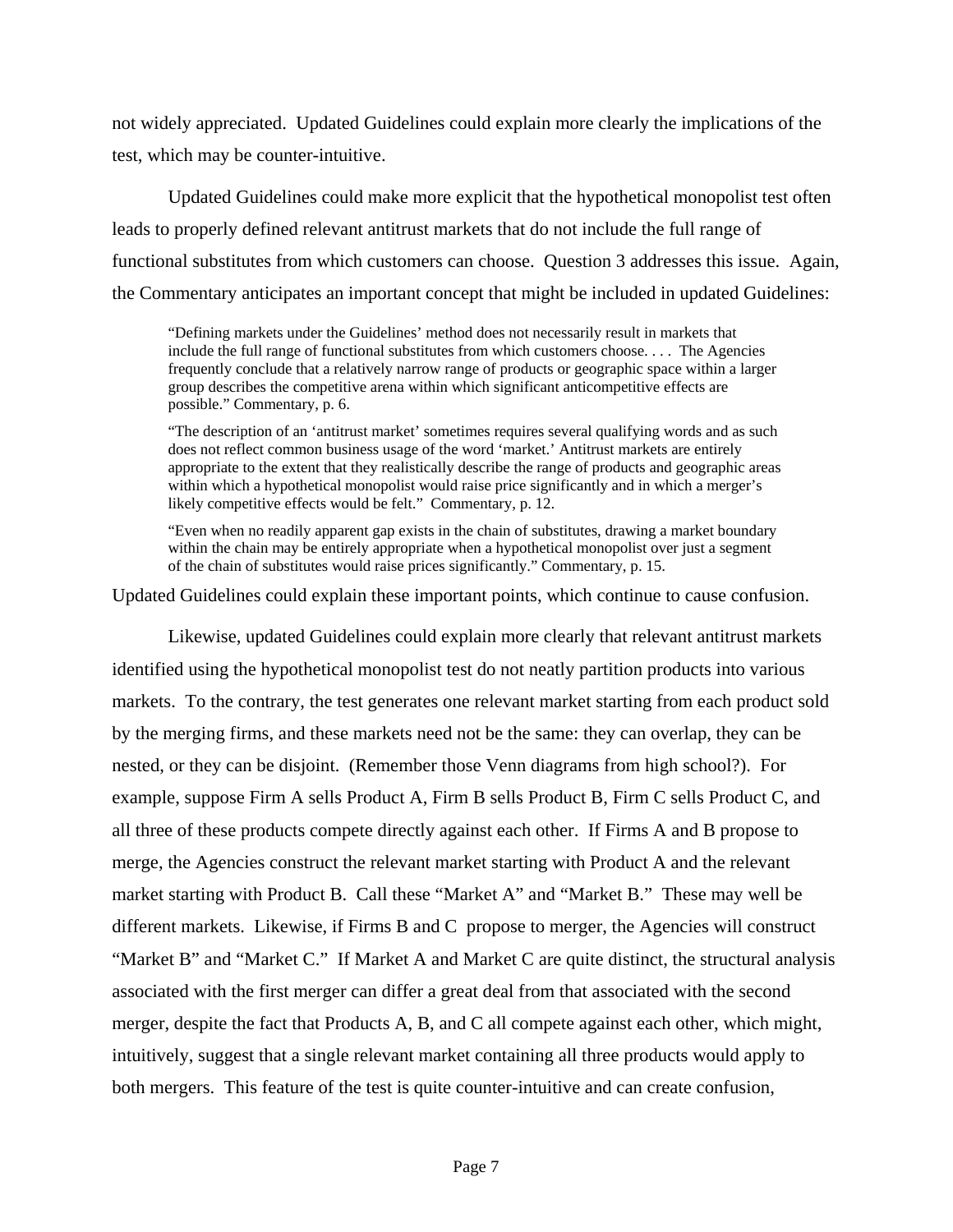not widely appreciated. Updated Guidelines could explain more clearly the implications of the test, which may be counter-intuitive.

Updated Guidelines could make more explicit that the hypothetical monopolist test often leads to properly defined relevant antitrust markets that do not include the full range of functional substitutes from which customers can choose. Question 3 addresses this issue. Again, the Commentary anticipates an important concept that might be included in updated Guidelines:

"Defining markets under the Guidelines' method does not necessarily result in markets that include the full range of functional substitutes from which customers choose. . . . The Agencies frequently conclude that a relatively narrow range of products or geographic space within a larger group describes the competitive arena within which significant anticompetitive effects are possible." Commentary, p. 6.

"The description of an 'antitrust market' sometimes requires several qualifying words and as such does not reflect common business usage of the word 'market.' Antitrust markets are entirely appropriate to the extent that they realistically describe the range of products and geographic areas within which a hypothetical monopolist would raise price significantly and in which a merger's likely competitive effects would be felt." Commentary, p. 12.

"Even when no readily apparent gap exists in the chain of substitutes, drawing a market boundary within the chain may be entirely appropriate when a hypothetical monopolist over just a segment of the chain of substitutes would raise prices significantly." Commentary, p. 15.

Updated Guidelines could explain these important points, which continue to cause confusion.

Likewise, updated Guidelines could explain more clearly that relevant antitrust markets identified using the hypothetical monopolist test do not neatly partition products into various markets. To the contrary, the test generates one relevant market starting from each product sold by the merging firms, and these markets need not be the same: they can overlap, they can be nested, or they can be disjoint. (Remember those Venn diagrams from high school?). For example, suppose Firm A sells Product A, Firm B sells Product B, Firm C sells Product C, and all three of these products compete directly against each other. If Firms A and B propose to merge, the Agencies construct the relevant market starting with Product A and the relevant market starting with Product B. Call these "Market A" and "Market B." These may well be different markets. Likewise, if Firms B and C propose to merger, the Agencies will construct "Market B" and "Market C." If Market A and Market C are quite distinct, the structural analysis associated with the first merger can differ a great deal from that associated with the second merger, despite the fact that Products A, B, and C all compete against each other, which might, intuitively, suggest that a single relevant market containing all three products would apply to both mergers. This feature of the test is quite counter-intuitive and can create confusion,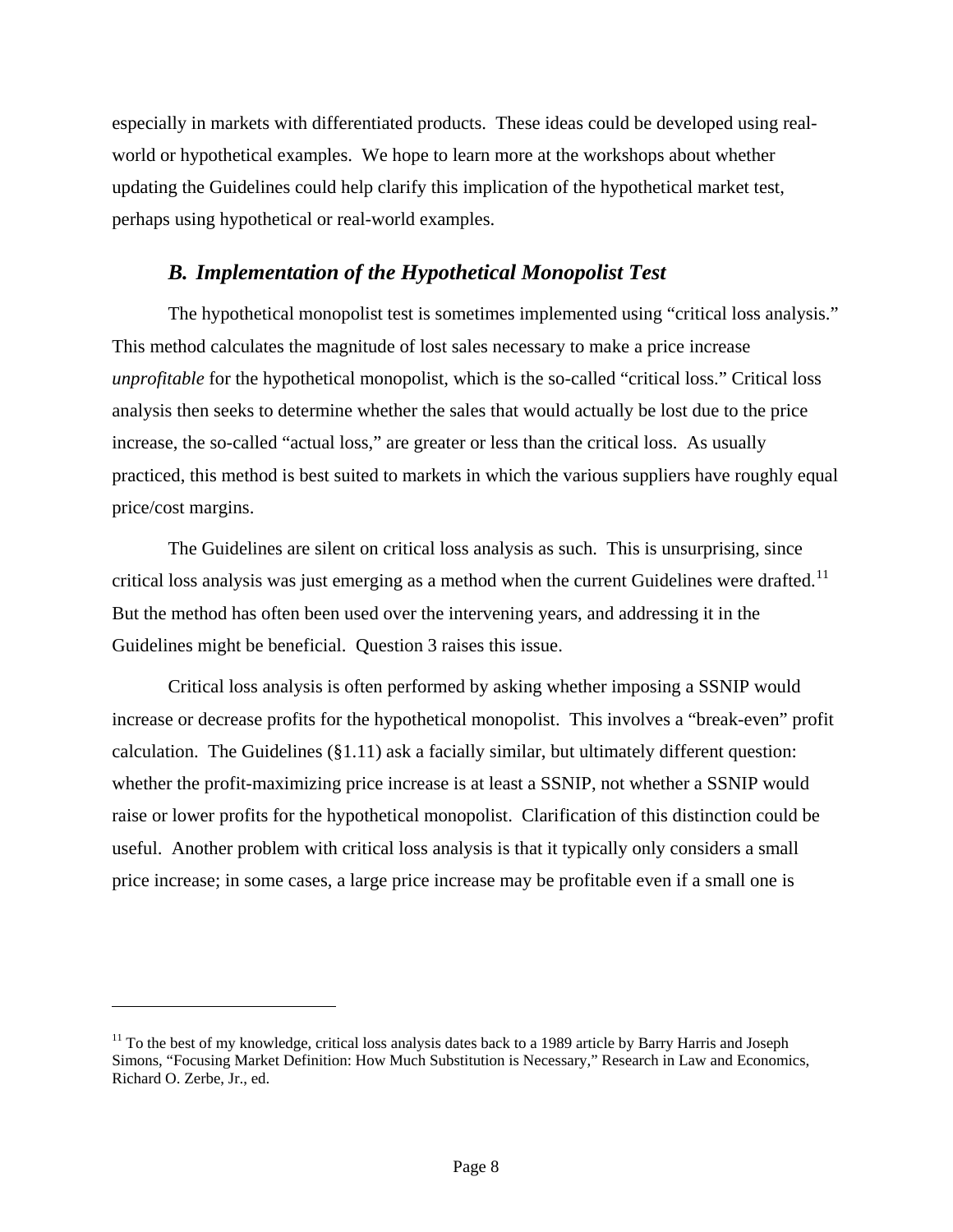especially in markets with differentiated products. These ideas could be developed using realworld or hypothetical examples. We hope to learn more at the workshops about whether updating the Guidelines could help clarify this implication of the hypothetical market test, perhaps using hypothetical or real-world examples.

## *B. Implementation of the Hypothetical Monopolist Test*

The hypothetical monopolist test is sometimes implemented using "critical loss analysis." This method calculates the magnitude of lost sales necessary to make a price increase *unprofitable* for the hypothetical monopolist, which is the so-called "critical loss." Critical loss analysis then seeks to determine whether the sales that would actually be lost due to the price increase, the so-called "actual loss," are greater or less than the critical loss. As usually practiced, this method is best suited to markets in which the various suppliers have roughly equal price/cost margins.

The Guidelines are silent on critical loss analysis as such. This is unsurprising, since critical loss analysis was just emerging as a method when the current Guidelines were drafted.<sup>[11](#page-8-0)</sup> But the method has often been used over the intervening years, and addressing it in the Guidelines might be beneficial. Question 3 raises this issue.

Critical loss analysis is often performed by asking whether imposing a SSNIP would increase or decrease profits for the hypothetical monopolist. This involves a "break-even" profit calculation. The Guidelines  $(\S1.11)$  ask a facially similar, but ultimately different question: whether the profit-maximizing price increase is at least a SSNIP, not whether a SSNIP would raise or lower profits for the hypothetical monopolist. Clarification of this distinction could be useful. Another problem with critical loss analysis is that it typically only considers a small price increase; in some cases, a large price increase may be profitable even if a small one is

<span id="page-8-0"></span> $\overline{a}$ 

<span id="page-8-1"></span> $11$  To the best of my knowledge, critical loss analysis dates back to a 1989 article by Barry Harris and Joseph Simons, "Focusing Market Definition: How Much Substitution is Necessary," Research in Law and Economics, Richard O. Zerbe, Jr., ed.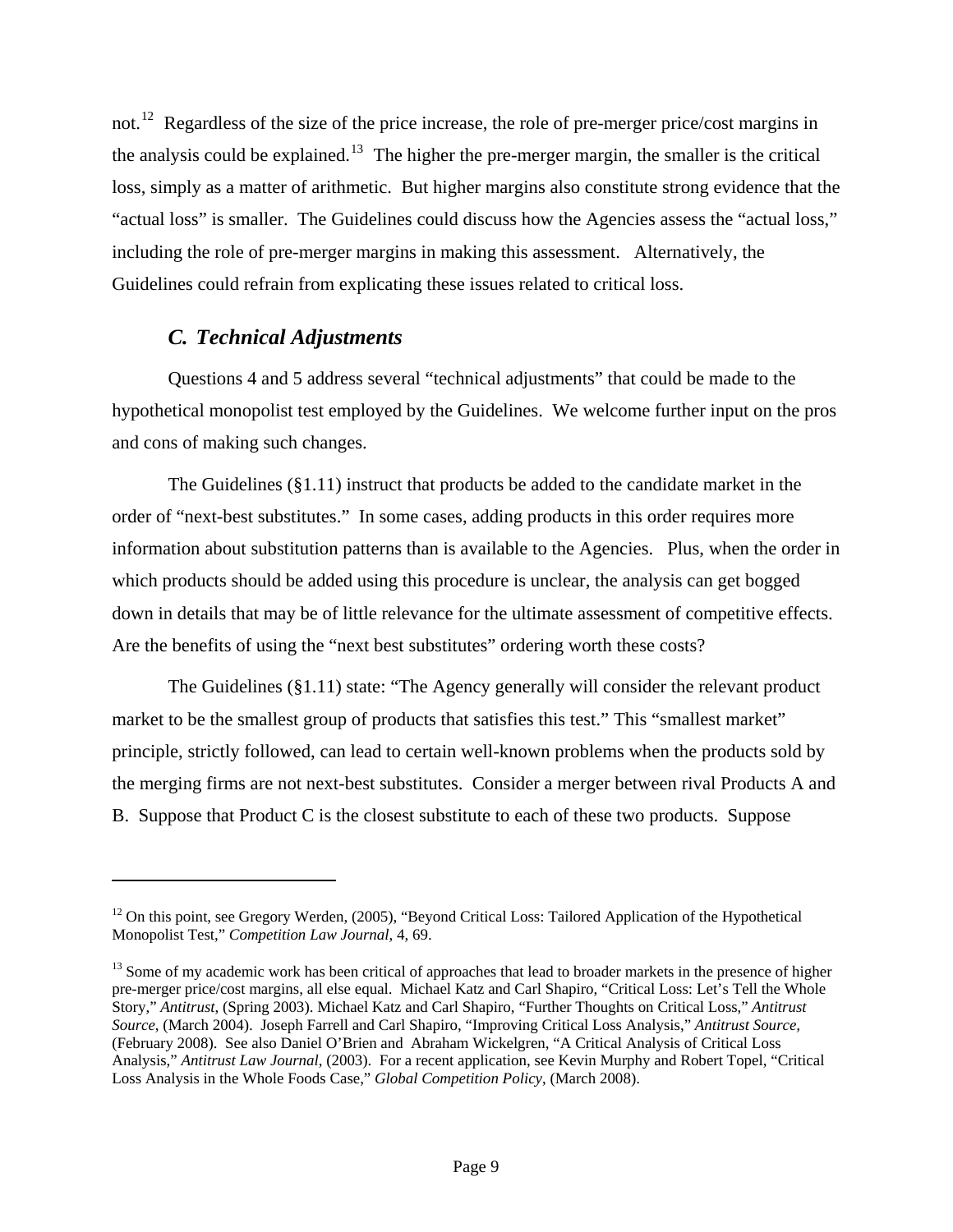not.<sup>[12](#page-8-1)</sup> Regardless of the size of the price increase, the role of pre-merger price/cost margins in the analysis could be explained.<sup>[13](#page-9-0)</sup> The higher the pre-merger margin, the smaller is the critical loss, simply as a matter of arithmetic. But higher margins also constitute strong evidence that the "actual loss" is smaller. The Guidelines could discuss how the Agencies assess the "actual loss," including the role of pre-merger margins in making this assessment. Alternatively, the Guidelines could refrain from explicating these issues related to critical loss.

# *C. Technical Adjustments*

 $\overline{a}$ 

Questions 4 and 5 address several "technical adjustments" that could be made to the hypothetical monopolist test employed by the Guidelines. We welcome further input on the pros and cons of making such changes.

The Guidelines  $(\S1.11)$  instruct that products be added to the candidate market in the order of "next-best substitutes." In some cases, adding products in this order requires more information about substitution patterns than is available to the Agencies. Plus, when the order in which products should be added using this procedure is unclear, the analysis can get bogged down in details that may be of little relevance for the ultimate assessment of competitive effects. Are the benefits of using the "next best substitutes" ordering worth these costs?

The Guidelines (§1.11) state: "The Agency generally will consider the relevant product market to be the smallest group of products that satisfies this test." This "smallest market" principle, strictly followed, can lead to certain well-known problems when the products sold by the merging firms are not next-best substitutes. Consider a merger between rival Products A and B. Suppose that Product C is the closest substitute to each of these two products. Suppose

<sup>&</sup>lt;sup>12</sup> On this point, see Gregory Werden, (2005), "Beyond Critical Loss: Tailored Application of the Hypothetical Monopolist Test," *Competition Law Journal*, 4, 69.

<span id="page-9-0"></span><sup>&</sup>lt;sup>13</sup> Some of my academic work has been critical of approaches that lead to broader markets in the presence of higher pre-merger price/cost margins, all else equal. Michael Katz and Carl Shapiro, "Critical Loss: Let's Tell the Whole Story," *Antitrust*, (Spring 2003). Michael Katz and Carl Shapiro, "Further Thoughts on Critical Loss," *Antitrust Source*, (March 2004). Joseph Farrell and Carl Shapiro, "Improving Critical Loss Analysis," *Antitrust Source,* (February 2008). See also Daniel O'Brien and Abraham Wickelgren, "A Critical Analysis of Critical Loss Analysis," *Antitrust Law Journal*, (2003). For a recent application, see Kevin Murphy and Robert Topel, "Critical Loss Analysis in the Whole Foods Case," *Global Competition Policy*, (March 2008).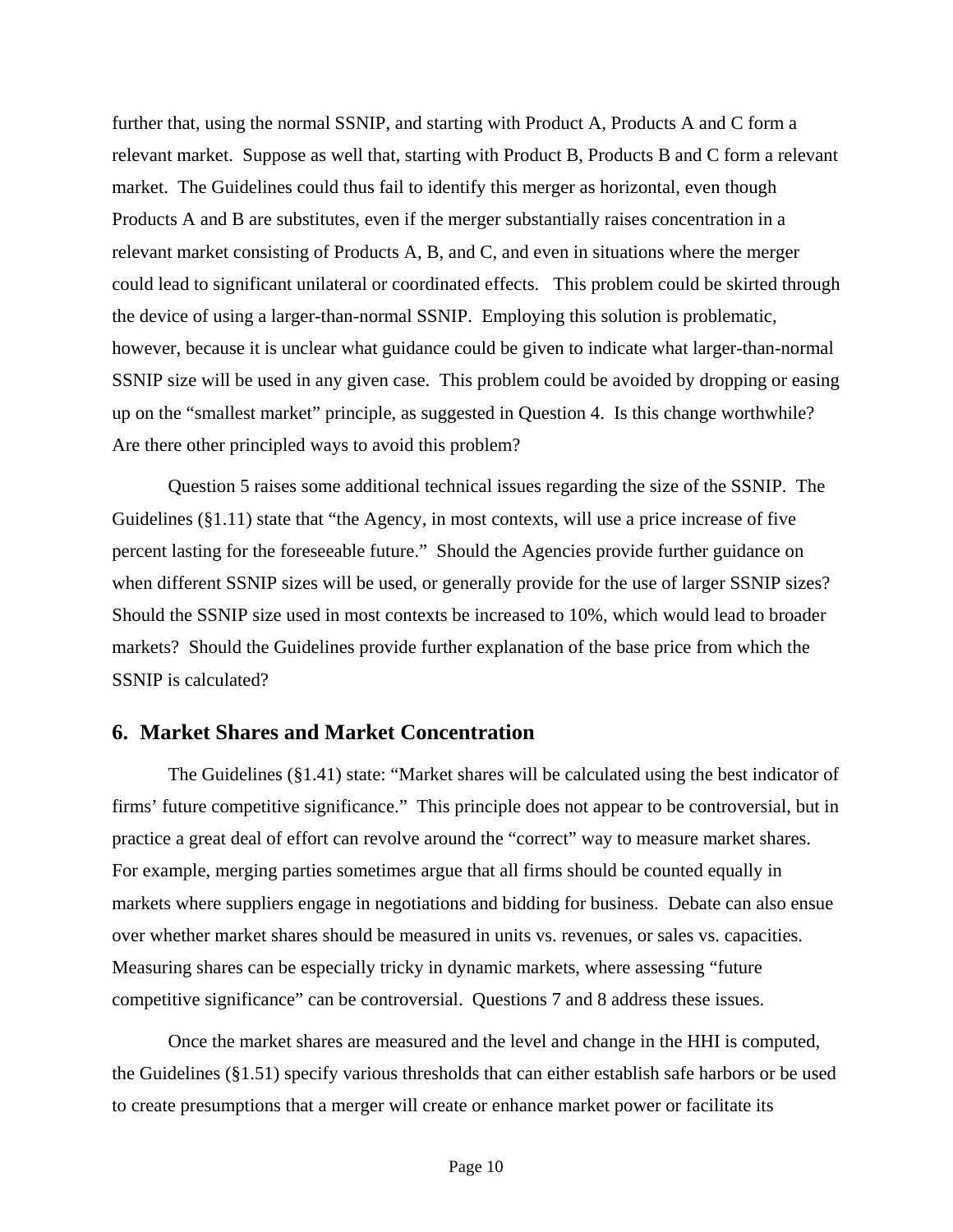further that, using the normal SSNIP, and starting with Product A, Products A and C form a relevant market. Suppose as well that, starting with Product B, Products B and C form a relevant market. The Guidelines could thus fail to identify this merger as horizontal, even though Products A and B are substitutes, even if the merger substantially raises concentration in a relevant market consisting of Products A, B, and C, and even in situations where the merger could lead to significant unilateral or coordinated effects. This problem could be skirted through the device of using a larger-than-normal SSNIP. Employing this solution is problematic, however, because it is unclear what guidance could be given to indicate what larger-than-normal SSNIP size will be used in any given case. This problem could be avoided by dropping or easing up on the "smallest market" principle, as suggested in Question 4. Is this change worthwhile? Are there other principled ways to avoid this problem?

Question 5 raises some additional technical issues regarding the size of the SSNIP. The Guidelines (§1.11) state that "the Agency, in most contexts, will use a price increase of five percent lasting for the foreseeable future." Should the Agencies provide further guidance on when different SSNIP sizes will be used, or generally provide for the use of larger SSNIP sizes? Should the SSNIP size used in most contexts be increased to 10%, which would lead to broader markets? Should the Guidelines provide further explanation of the base price from which the SSNIP is calculated?

#### **6. Market Shares and Market Concentration**

The Guidelines (§1.41) state: "Market shares will be calculated using the best indicator of firms' future competitive significance." This principle does not appear to be controversial, but in practice a great deal of effort can revolve around the "correct" way to measure market shares. For example, merging parties sometimes argue that all firms should be counted equally in markets where suppliers engage in negotiations and bidding for business. Debate can also ensue over whether market shares should be measured in units vs. revenues, or sales vs. capacities. Measuring shares can be especially tricky in dynamic markets, where assessing "future competitive significance" can be controversial. Questions 7 and 8 address these issues.

Once the market shares are measured and the level and change in the HHI is computed, the Guidelines (§1.51) specify various thresholds that can either establish safe harbors or be used to create presumptions that a merger will create or enhance market power or facilitate its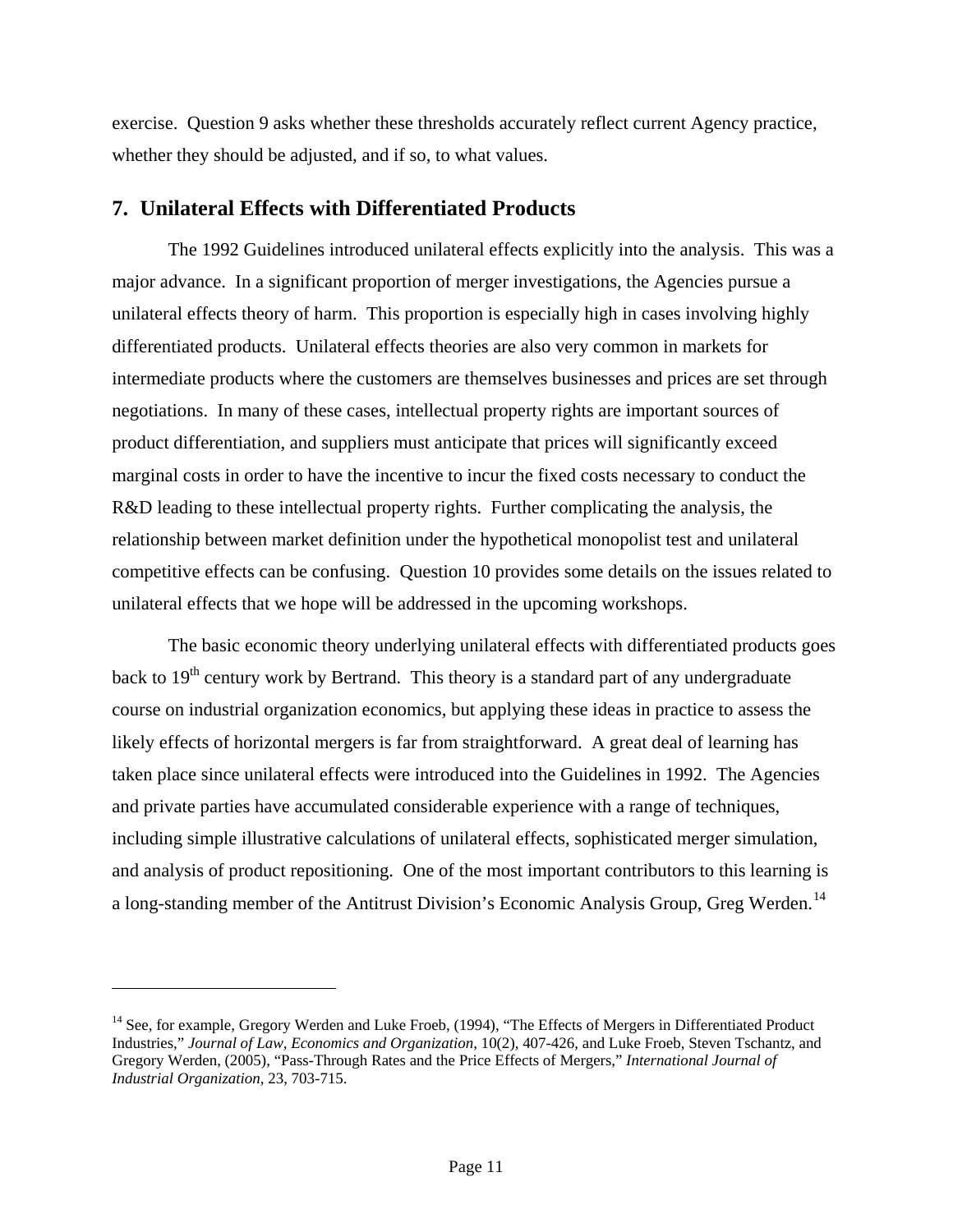exercise. Question 9 asks whether these thresholds accurately reflect current Agency practice, whether they should be adjusted, and if so, to what values.

# **7. Unilateral Effects with Differentiated Products**

The 1992 Guidelines introduced unilateral effects explicitly into the analysis. This was a major advance. In a significant proportion of merger investigations, the Agencies pursue a unilateral effects theory of harm. This proportion is especially high in cases involving highly differentiated products. Unilateral effects theories are also very common in markets for intermediate products where the customers are themselves businesses and prices are set through negotiations. In many of these cases, intellectual property rights are important sources of product differentiation, and suppliers must anticipate that prices will significantly exceed marginal costs in order to have the incentive to incur the fixed costs necessary to conduct the R&D leading to these intellectual property rights. Further complicating the analysis, the relationship between market definition under the hypothetical monopolist test and unilateral competitive effects can be confusing. Question 10 provides some details on the issues related to unilateral effects that we hope will be addressed in the upcoming workshops.

The basic economic theory underlying unilateral effects with differentiated products goes back to  $19<sup>th</sup>$  century work by Bertrand. This theory is a standard part of any undergraduate course on industrial organization economics, but applying these ideas in practice to assess the likely effects of horizontal mergers is far from straightforward. A great deal of learning has taken place since unilateral effects were introduced into the Guidelines in 1992. The Agencies and private parties have accumulated considerable experience with a range of techniques, including simple illustrative calculations of unilateral effects, sophisticated merger simulation, and analysis of product repositioning. One of the most important contributors to this learning is a long-standing member of the Antitrust Division's Economic Analysis Group, Greg Werden.<sup>[14](#page-11-0)</sup>

<span id="page-11-0"></span><sup>&</sup>lt;sup>14</sup> See, for example, Gregory Werden and Luke Froeb, (1994), "The Effects of Mergers in Differentiated Product Industries," *Journal of Law, Economics and Organization*, 10(2), 407-426, and Luke Froeb, Steven Tschantz, and Gregory Werden, (2005), "Pass-Through Rates and the Price Effects of Mergers," *International Journal of Industrial Organization*, 23, 703-715.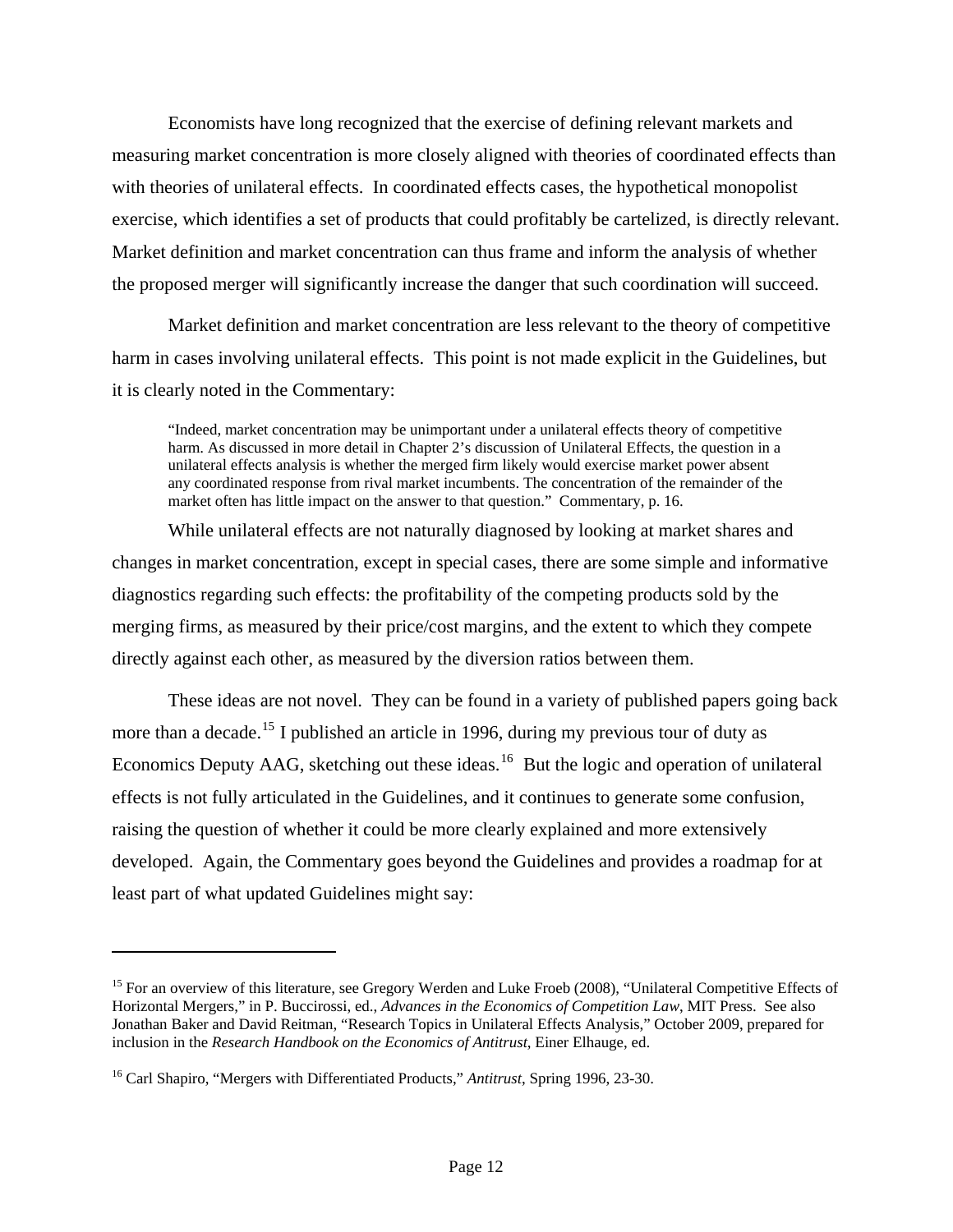Economists have long recognized that the exercise of defining relevant markets and measuring market concentration is more closely aligned with theories of coordinated effects than with theories of unilateral effects. In coordinated effects cases, the hypothetical monopolist exercise, which identifies a set of products that could profitably be cartelized, is directly relevant. Market definition and market concentration can thus frame and inform the analysis of whether the proposed merger will significantly increase the danger that such coordination will succeed.

Market definition and market concentration are less relevant to the theory of competitive harm in cases involving unilateral effects. This point is not made explicit in the Guidelines, but it is clearly noted in the Commentary:

"Indeed, market concentration may be unimportant under a unilateral effects theory of competitive harm. As discussed in more detail in Chapter 2's discussion of Unilateral Effects, the question in a unilateral effects analysis is whether the merged firm likely would exercise market power absent any coordinated response from rival market incumbents. The concentration of the remainder of the market often has little impact on the answer to that question." Commentary, p. 16.

While unilateral effects are not naturally diagnosed by looking at market shares and changes in market concentration, except in special cases, there are some simple and informative diagnostics regarding such effects: the profitability of the competing products sold by the merging firms, as measured by their price/cost margins, and the extent to which they compete directly against each other, as measured by the diversion ratios between them.

These ideas are not novel. They can be found in a variety of published papers going back more than a decade.<sup>[15](#page-12-0)</sup> I published an article in 1996, during my previous tour of duty as Economics Deputy AAG, sketching out these ideas.<sup>[16](#page-12-1)</sup> But the logic and operation of unilateral effects is not fully articulated in the Guidelines, and it continues to generate some confusion, raising the question of whether it could be more clearly explained and more extensively developed. Again, the Commentary goes beyond the Guidelines and provides a roadmap for at least part of what updated Guidelines might say:

<span id="page-12-0"></span><sup>&</sup>lt;sup>15</sup> For an overview of this literature, see Gregory Werden and Luke Froeb (2008), "Unilateral Competitive Effects of Horizontal Mergers," in P. Buccirossi, ed., *Advances in the Economics of Competition Law*, MIT Press. See also Jonathan Baker and David Reitman, "Research Topics in Unilateral Effects Analysis," October 2009, prepared for inclusion in the *Research Handbook on the Economics of Antitrust*, Einer Elhauge, ed.

<span id="page-12-1"></span><sup>16</sup> Carl Shapiro, "Mergers with Differentiated Products," *Antitrust*, Spring 1996, 23-30.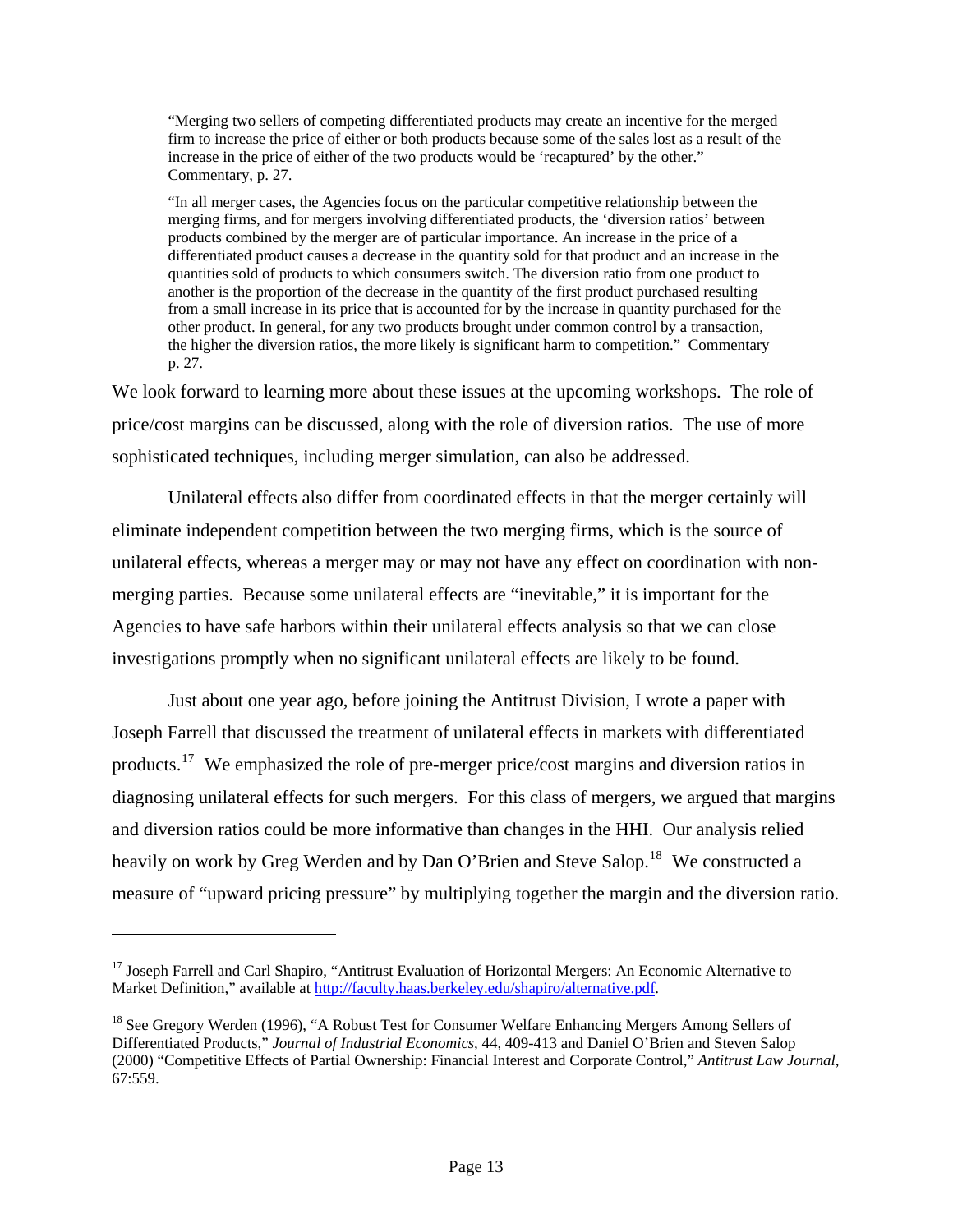"Merging two sellers of competing differentiated products may create an incentive for the merged firm to increase the price of either or both products because some of the sales lost as a result of the increase in the price of either of the two products would be 'recaptured' by the other." Commentary, p. 27.

"In all merger cases, the Agencies focus on the particular competitive relationship between the merging firms, and for mergers involving differentiated products, the 'diversion ratios' between products combined by the merger are of particular importance. An increase in the price of a differentiated product causes a decrease in the quantity sold for that product and an increase in the quantities sold of products to which consumers switch. The diversion ratio from one product to another is the proportion of the decrease in the quantity of the first product purchased resulting from a small increase in its price that is accounted for by the increase in quantity purchased for the other product. In general, for any two products brought under common control by a transaction, the higher the diversion ratios, the more likely is significant harm to competition." Commentary p. 27.

We look forward to learning more about these issues at the upcoming workshops. The role of price/cost margins can be discussed, along with the role of diversion ratios. The use of more sophisticated techniques, including merger simulation, can also be addressed.

Unilateral effects also differ from coordinated effects in that the merger certainly will eliminate independent competition between the two merging firms, which is the source of unilateral effects, whereas a merger may or may not have any effect on coordination with nonmerging parties. Because some unilateral effects are "inevitable," it is important for the Agencies to have safe harbors within their unilateral effects analysis so that we can close investigations promptly when no significant unilateral effects are likely to be found.

Just about one year ago, before joining the Antitrust Division, I wrote a paper with Joseph Farrell that discussed the treatment of unilateral effects in markets with differentiated products.[17](#page-13-0) We emphasized the role of pre-merger price/cost margins and diversion ratios in diagnosing unilateral effects for such mergers. For this class of mergers, we argued that margins and diversion ratios could be more informative than changes in the HHI. Our analysis relied heavily on work by Greg Werden and by Dan O'Brien and Steve Salop.<sup>[18](#page-13-1)</sup> We constructed a measure of "upward pricing pressure" by multiplying together the margin and the diversion ratio.

 $\overline{a}$ 

<span id="page-13-0"></span><sup>&</sup>lt;sup>17</sup> Joseph Farrell and Carl Shapiro, "Antitrust Evaluation of Horizontal Mergers: An Economic Alternative to Market Definition," available at<http://faculty.haas.berkeley.edu/shapiro/alternative.pdf>.

<span id="page-13-1"></span><sup>&</sup>lt;sup>18</sup> See Gregory Werden (1996), "A Robust Test for Consumer Welfare Enhancing Mergers Among Sellers of Differentiated Products," *Journal of Industrial Economics,* 44, 409-413 and Daniel O'Brien and Steven Salop (2000) "Competitive Effects of Partial Ownership: Financial Interest and Corporate Control," *Antitrust Law Journal*, 67:559.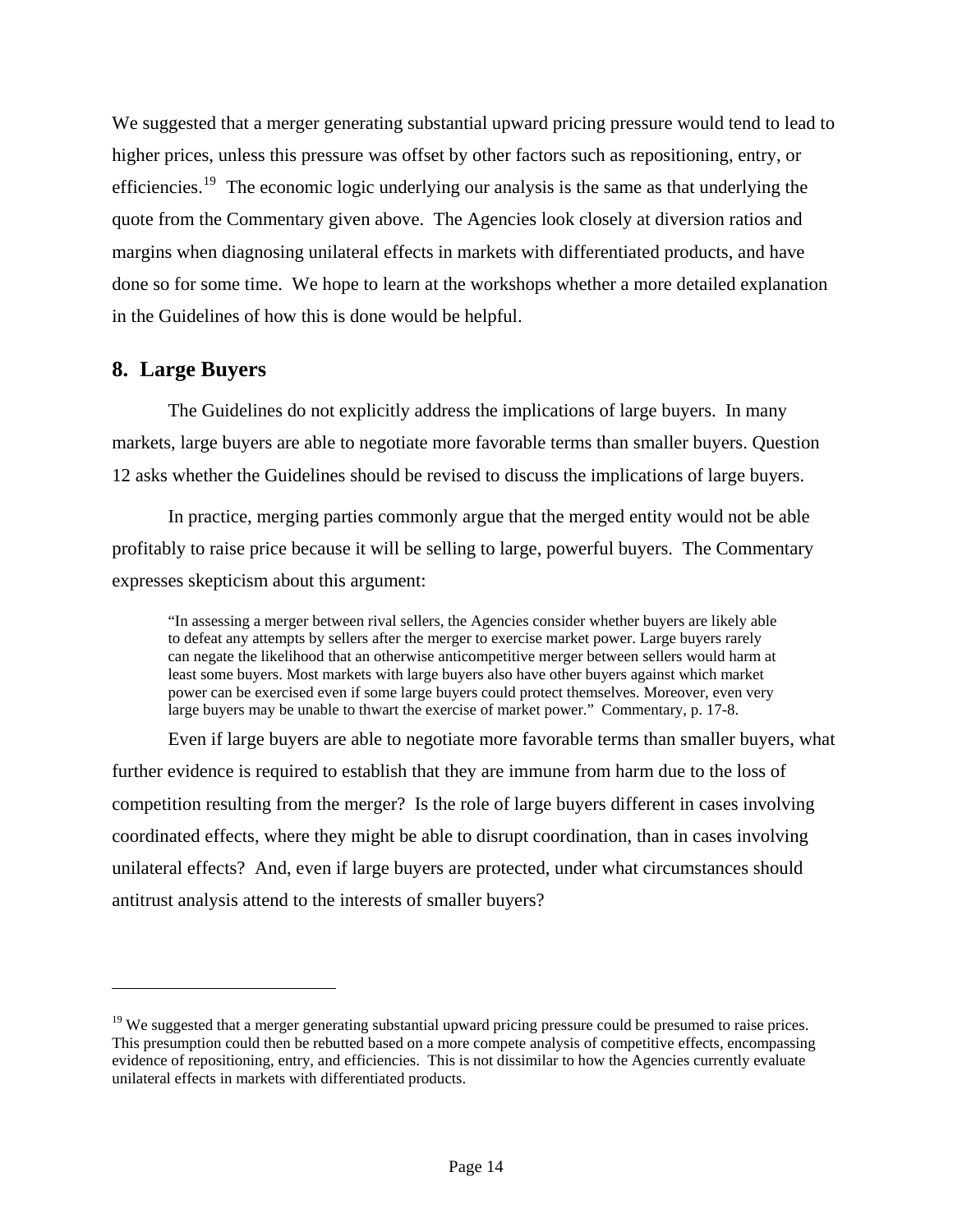We suggested that a merger generating substantial upward pricing pressure would tend to lead to higher prices, unless this pressure was offset by other factors such as repositioning, entry, or efficiencies.<sup>[19](#page-14-0)</sup> The economic logic underlying our analysis is the same as that underlying the quote from the Commentary given above. The Agencies look closely at diversion ratios and margins when diagnosing unilateral effects in markets with differentiated products, and have done so for some time. We hope to learn at the workshops whether a more detailed explanation in the Guidelines of how this is done would be helpful.

### **8. Large Buyers**

1

The Guidelines do not explicitly address the implications of large buyers. In many markets, large buyers are able to negotiate more favorable terms than smaller buyers. Question 12 asks whether the Guidelines should be revised to discuss the implications of large buyers.

In practice, merging parties commonly argue that the merged entity would not be able profitably to raise price because it will be selling to large, powerful buyers. The Commentary expresses skepticism about this argument:

"In assessing a merger between rival sellers, the Agencies consider whether buyers are likely able to defeat any attempts by sellers after the merger to exercise market power. Large buyers rarely can negate the likelihood that an otherwise anticompetitive merger between sellers would harm at least some buyers. Most markets with large buyers also have other buyers against which market power can be exercised even if some large buyers could protect themselves. Moreover, even very large buyers may be unable to thwart the exercise of market power." Commentary, p. 17-8.

Even if large buyers are able to negotiate more favorable terms than smaller buyers, what further evidence is required to establish that they are immune from harm due to the loss of competition resulting from the merger? Is the role of large buyers different in cases involving coordinated effects, where they might be able to disrupt coordination, than in cases involving unilateral effects? And, even if large buyers are protected, under what circumstances should antitrust analysis attend to the interests of smaller buyers?

<span id="page-14-0"></span><sup>&</sup>lt;sup>19</sup> We suggested that a merger generating substantial upward pricing pressure could be presumed to raise prices. This presumption could then be rebutted based on a more compete analysis of competitive effects, encompassing evidence of repositioning, entry, and efficiencies. This is not dissimilar to how the Agencies currently evaluate unilateral effects in markets with differentiated products.